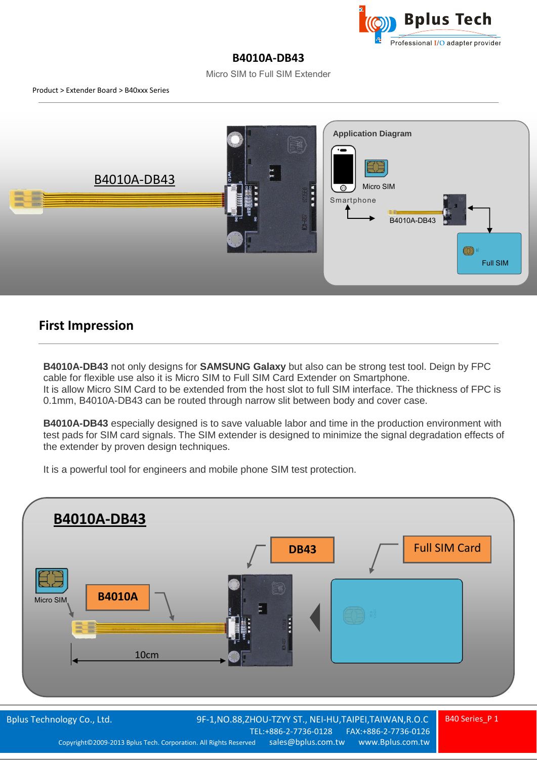

## **B4010A-DB43**

Micro SIM to Full SIM Extender



## **First Impression**

**B4010A-DB43** not only designs for **SAMSUNG Galaxy** but also can be strong test tool. Deign by FPC cable for flexible use also it is Micro SIM to Full SIM Card Extender on Smartphone. It is allow Micro SIM Card to be extended from the host slot to full SIM interface. The thickness of FPC is 0.1mm, B4010A-DB43 can be routed through narrow slit between body and cover case.

**B4010A-DB43** especially designed is to save valuable labor and time in the production environment with test pads for SIM card signals. The SIM extender is designed to minimize the signal degradation effects of the extender by proven design techniques.

It is a powerful tool for engineers and mobile phone SIM test protection.

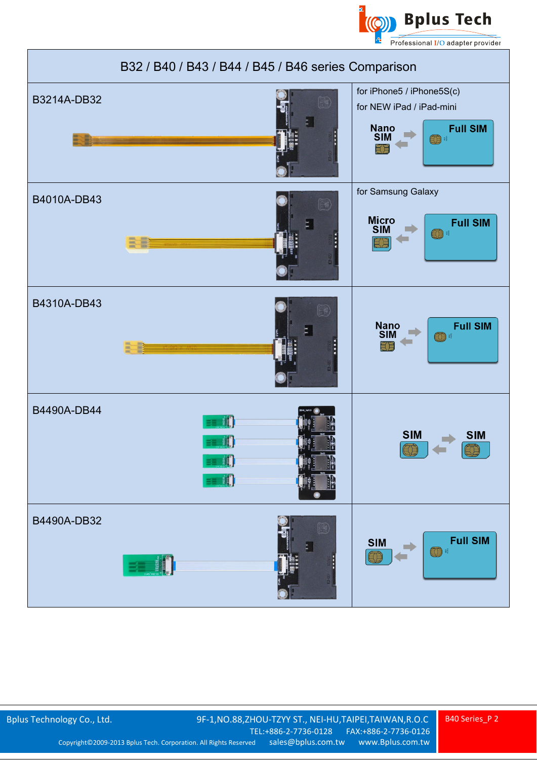



B40 Series\_P 2